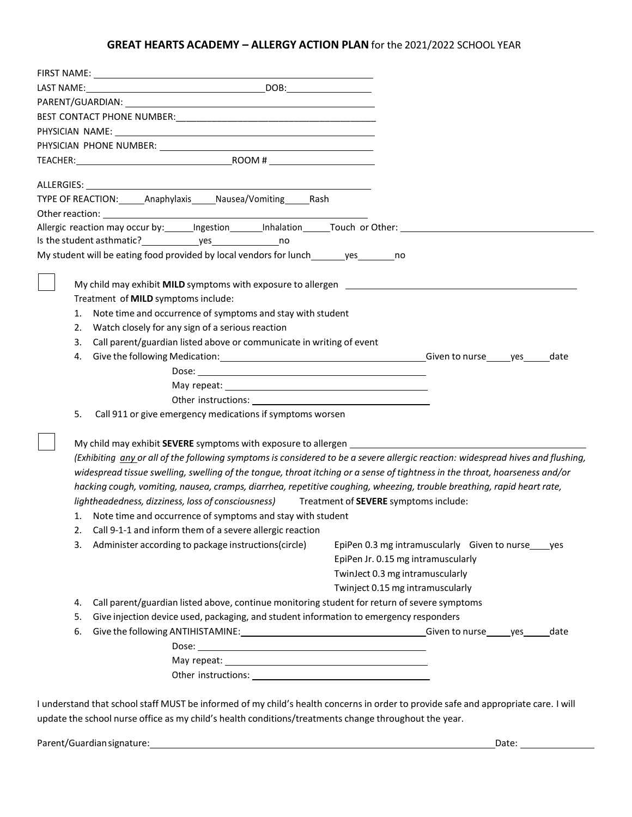## **GREAT HEARTS ACADEMY – ALLERGY ACTION PLAN** for the 2021/2022 SCHOOL YEAR

| ALLERGIES: | TYPE OF REACTION: ______ Anaphylaxis _____ Nausea/Vomiting _____ Rash                                                  |                                                                                                                                 |
|------------|------------------------------------------------------------------------------------------------------------------------|---------------------------------------------------------------------------------------------------------------------------------|
|            |                                                                                                                        |                                                                                                                                 |
|            |                                                                                                                        |                                                                                                                                 |
|            |                                                                                                                        |                                                                                                                                 |
|            | My student will be eating food provided by local vendors for lunch_______yes_________no                                |                                                                                                                                 |
|            |                                                                                                                        |                                                                                                                                 |
|            | My child may exhibit <b>MILD</b> symptoms with exposure to allergen <b>EXALL CONDUCTS</b> 2004 2014                    |                                                                                                                                 |
|            | Treatment of MILD symptoms include:                                                                                    |                                                                                                                                 |
| 1.         | Note time and occurrence of symptoms and stay with student                                                             |                                                                                                                                 |
| 2.         | Watch closely for any sign of a serious reaction                                                                       |                                                                                                                                 |
| 3.         | Call parent/guardian listed above or communicate in writing of event                                                   |                                                                                                                                 |
| 4.         |                                                                                                                        | date                                                                                                                            |
|            |                                                                                                                        |                                                                                                                                 |
|            |                                                                                                                        |                                                                                                                                 |
|            |                                                                                                                        |                                                                                                                                 |
| 5.         | Call 911 or give emergency medications if symptoms worsen                                                              |                                                                                                                                 |
|            |                                                                                                                        |                                                                                                                                 |
|            |                                                                                                                        |                                                                                                                                 |
|            |                                                                                                                        | (Exhibiting any or all of the following symptoms is considered to be a severe allergic reaction: widespread hives and flushing, |
|            |                                                                                                                        | widespread tissue swelling, swelling of the tongue, throat itching or a sense of tightness in the throat, hoarseness and/or     |
|            | hacking cough, vomiting, nausea, cramps, diarrhea, repetitive coughing, wheezing, trouble breathing, rapid heart rate, |                                                                                                                                 |
|            | lightheadedness, dizziness, loss of consciousness) Treatment of SEVERE symptoms include:                               |                                                                                                                                 |
|            | 1. Note time and occurrence of symptoms and stay with student                                                          |                                                                                                                                 |
| 2.         | Call 9-1-1 and inform them of a severe allergic reaction                                                               |                                                                                                                                 |
|            | 3. Administer according to package instructions(circle)                                                                | EpiPen 0.3 mg intramuscularly Given to nurse_uses                                                                               |
|            |                                                                                                                        | EpiPen Jr. 0.15 mg intramuscularly                                                                                              |
|            |                                                                                                                        | TwinJect 0.3 mg intramuscularly                                                                                                 |
|            |                                                                                                                        | Twinject 0.15 mg intramuscularly                                                                                                |
| 4.         | Call parent/guardian listed above, continue monitoring student for return of severe symptoms                           |                                                                                                                                 |
| 5.         | Give injection device used, packaging, and student information to emergency responders                                 |                                                                                                                                 |
| 6.         |                                                                                                                        | date                                                                                                                            |
|            |                                                                                                                        |                                                                                                                                 |
|            |                                                                                                                        |                                                                                                                                 |
|            |                                                                                                                        |                                                                                                                                 |
|            |                                                                                                                        |                                                                                                                                 |

I understand that schoolstaff MUST be informed of my child's health concerns in order to provide safe and appropriate care. I will update the school nurse office as my child's health conditions/treatments change throughout the year.

Parent/Guardiansignature: Date: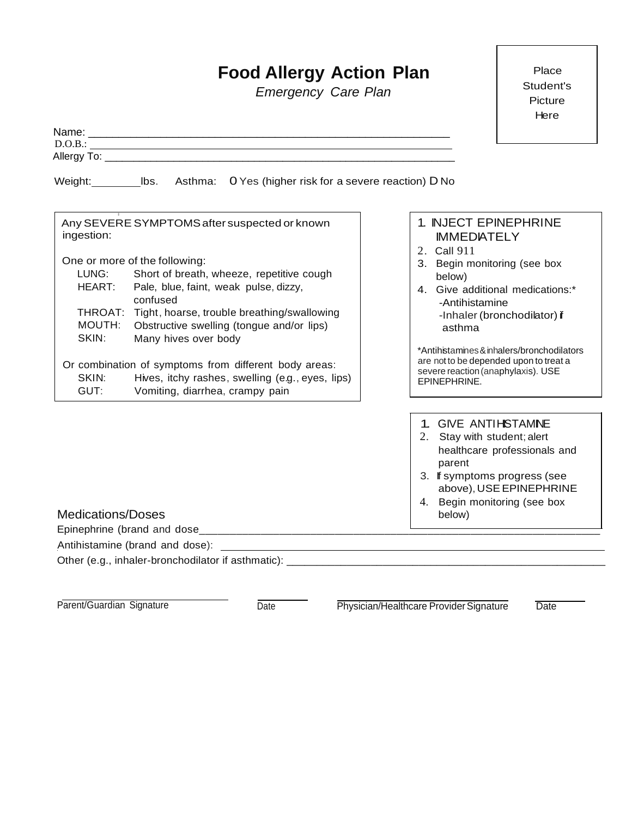## **Food Allergy Action Plan**

*Emergency Care Plan*

|                                                                                                                                                                                                                                                                                                                                                                                                                                                                                                                                      | Here                                                                                                                                                                                                                                                                                                                                               |
|--------------------------------------------------------------------------------------------------------------------------------------------------------------------------------------------------------------------------------------------------------------------------------------------------------------------------------------------------------------------------------------------------------------------------------------------------------------------------------------------------------------------------------------|----------------------------------------------------------------------------------------------------------------------------------------------------------------------------------------------------------------------------------------------------------------------------------------------------------------------------------------------------|
| D.O.B.:                                                                                                                                                                                                                                                                                                                                                                                                                                                                                                                              |                                                                                                                                                                                                                                                                                                                                                    |
|                                                                                                                                                                                                                                                                                                                                                                                                                                                                                                                                      |                                                                                                                                                                                                                                                                                                                                                    |
|                                                                                                                                                                                                                                                                                                                                                                                                                                                                                                                                      |                                                                                                                                                                                                                                                                                                                                                    |
| Any SEVERE SYMPTOMS after suspected or known<br>ingestion:<br>One or more of the following:<br>LUNG:<br>Short of breath, wheeze, repetitive cough<br>HEART: Pale, blue, faint, weak pulse, dizzy,<br>confused<br>THROAT: Tight, hoarse, trouble breathing/swallowing<br><b>MOUTH:</b><br>Obstructive swelling (tongue and/or lips)<br>SKIN:<br>Many hives over body<br>Or combination of symptoms from different body areas:<br>SKIN:<br>Hives, itchy rashes, swelling (e.g., eyes, lips)<br>GUT:<br>Vomiting, diarrhea, crampy pain | 1. INJECT EPINEPHRINE<br><b>IMMEDIATELY</b><br>2. Call 911<br>3. Begin monitoring (see box<br>below)<br>4. Give additional medications:*<br>-Antihistamine<br>-Inhaler (bronchodilator) if<br>asthma<br>*Antihistamines & inhalers/bronchodilators<br>are not to be depended upon to treat a<br>severe reaction (anaphylaxis). USE<br>EPINEPHRINE. |
| <b>Medications/Doses</b>                                                                                                                                                                                                                                                                                                                                                                                                                                                                                                             | 1. GIVE ANTIHISTAMNE<br>2. Stay with student; alert<br>healthcare professionals and<br>parent<br>3. If symptoms progress (see<br>above), USE EPINEPHRINE<br>4. Begin monitoring (see box<br>below)                                                                                                                                                 |
|                                                                                                                                                                                                                                                                                                                                                                                                                                                                                                                                      |                                                                                                                                                                                                                                                                                                                                                    |
|                                                                                                                                                                                                                                                                                                                                                                                                                                                                                                                                      |                                                                                                                                                                                                                                                                                                                                                    |
|                                                                                                                                                                                                                                                                                                                                                                                                                                                                                                                                      |                                                                                                                                                                                                                                                                                                                                                    |

Parent/Guardian Signature Date Date Physician/Healthcare Provider Signature Date

Place Student's Picture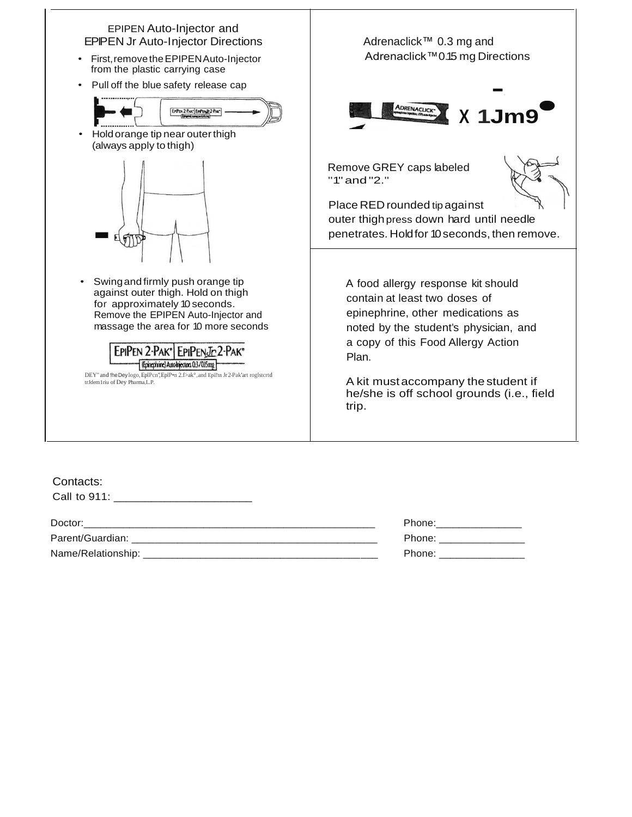

| ---------                                                                       |                                                                                                                                                                                                                                |
|---------------------------------------------------------------------------------|--------------------------------------------------------------------------------------------------------------------------------------------------------------------------------------------------------------------------------|
| Call to $911$ :<br><u> 1980 - Jan Barbarat, martin al-Amerikaansk politik (</u> |                                                                                                                                                                                                                                |
| Doctor:                                                                         | Phone:                                                                                                                                                                                                                         |
| Parent/Guardian:                                                                | Phone: the contract of the contract of the contract of the contract of the contract of the contract of the contract of the contract of the contract of the contract of the contract of the contract of the contract of the con |
| Name/Relationship:                                                              | Phone:                                                                                                                                                                                                                         |
|                                                                                 |                                                                                                                                                                                                                                |